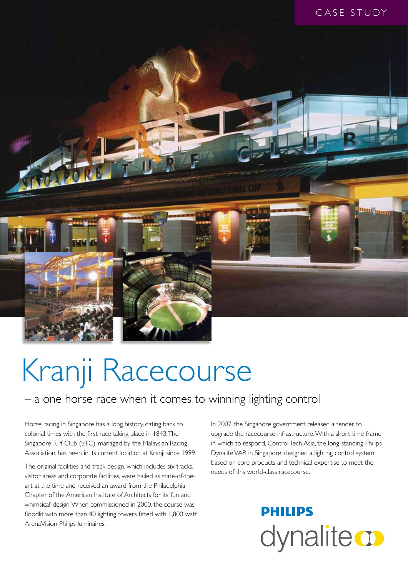

# Kranji Racecourse

### – a one horse race when it comes to winning lighting control

Horse racing in Singapore has a long history, dating back to colonial times with the first race taking place in 1843. The Singapore Turf Club (STC), managed by the Malaysian Racing Association, has been in its current location at Kranji since 1999.

The original facilities and track design, which includes six tracks, visitor areas and corporate facilities, were hailed as state-of-theart at the time and received an award from the Philadelphia Chapter of the American Institute of Architects for its 'fun and whimsical' design. When commissioned in 2000, the course was floodlit with more than 40 lighting towers fitted with 1,800 watt ArenaVision Philips luminaires.

In 2007, the Singapore government released a tender to upgrade the racecourse infrastructure. With a short time frame in which to respond, Control Tech Asia, the long-standing Philips Dynalite VAR in Singapore, designed a lighting control system based on core products and technical expertise to meet the needs of this world-class racecourse.

## **PHILIPS** dynalite **or**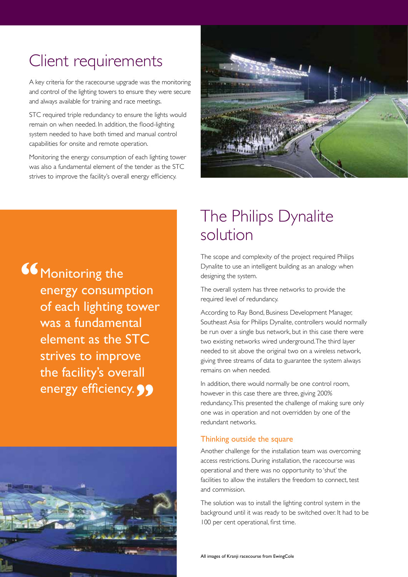## Client requirements

A key criteria for the racecourse upgrade was the monitoring and control of the lighting towers to ensure they were secure and always available for training and race meetings.

STC required triple redundancy to ensure the lights would remain on when needed. In addition, the flood-lighting system needed to have both timed and manual control capabilities for onsite and remote operation.

Monitoring the energy consumption of each lighting tower was also a fundamental element of the tender as the STC strives to improve the facility's overall energy efficiency.



**"Wonitoring the** energy consumption of each lighting tower was a fundamental element as the STC strives to improve the facility's overall energy efficiency. **99** 



## The Philips Dynalite solution

The scope and complexity of the project required Philips Dynalite to use an intelligent building as an analogy when designing the system.

The overall system has three networks to provide the required level of redundancy.

According to Ray Bond, Business Development Manager, Southeast Asia for Philips Dynalite, controllers would normally be run over a single bus network, but in this case there were two existing networks wired underground. The third layer needed to sit above the original two on a wireless network, giving three streams of data to guarantee the system always remains on when needed.

In addition, there would normally be one control room, however in this case there are three, giving 200% redundancy. This presented the challenge of making sure only one was in operation and not overridden by one of the redundant networks.

#### Thinking outside the square

Another challenge for the installation team was overcoming access restrictions. During installation, the racecourse was operational and there was no opportunity to 'shut' the facilities to allow the installers the freedom to connect, test and commission.

The solution was to install the lighting control system in the background until it was ready to be switched over. It had to be 100 per cent operational, first time.

All images of Kranii racecourse from EwingCole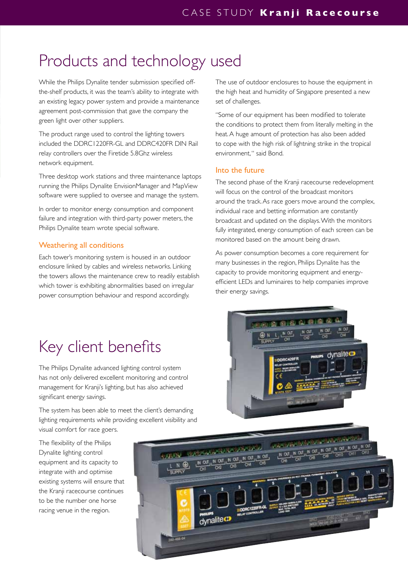## Products and technology used

While the Philips Dynalite tender submission specified offthe-shelf products, it was the team's ability to integrate with an existing legacy power system and provide a maintenance agreement post-commission that gave the company the green light over other suppliers.

The product range used to control the lighting towers included the DDRC1220FR-GL and DDRC420FR DIN Rail relay controllers over the Firetide 5.8Ghz wireless network equipment.

Three desktop work stations and three maintenance laptops running the Philips Dynalite EnvisionManager and MapView software were supplied to oversee and manage the system.

In order to monitor energy consumption and component failure and integration with third-party power meters, the Philips Dynalite team wrote special software.

#### Weathering all conditions

Each tower's monitoring system is housed in an outdoor enclosure linked by cables and wireless networks. Linking the towers allows the maintenance crew to readily establish which tower is exhibiting abnormalities based on irregular power consumption behaviour and respond accordingly.

The use of outdoor enclosures to house the equipment in the high heat and humidity of Singapore presented a new set of challenges.

"Some of our equipment has been modified to tolerate the conditions to protect them from literally melting in the heat. A huge amount of protection has also been added to cope with the high risk of lightning strike in the tropical environment, " said Bond.

#### Into the future

The second phase of the Kranji racecourse redevelopment will focus on the control of the broadcast monitors around the track. As race goers move around the complex, individual race and betting information are constantly broadcast and updated on the displays. With the monitors fully integrated, energy consumption of each screen can be monitored based on the amount being drawn.

As power consumption becomes a core requirement for many businesses in the region, Philips Dynalite has the capacity to provide monitoring equipment and energyefficient LEDs and luminaires to help companies improve their energy savings.

## Key client benefits

The Philips Dynalite advanced lighting control system has not only delivered excellent monitoring and control management for Kranji's lighting, but has also achieved significant energy savings.

The system has been able to meet the client's demanding lighting requirements while providing excellent visibility and visual comfort for race goers.

The flexibility of the Philips Dynalite lighting control equipment and its capacity to integrate with and optimise existing systems will ensure that the Kranji racecourse continues to be the number one horse racing venue in the region.